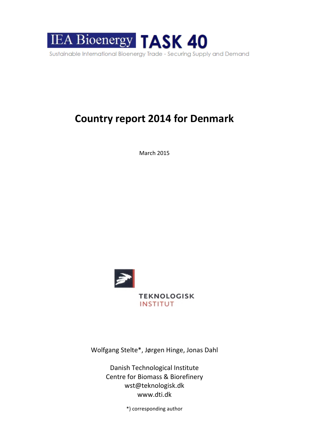

# **Country report 2014 for Denmark**

March 2015



Wolfgang Stelte\*, Jørgen Hinge, Jonas Dahl

Danish Technological Institute Centre for Biomass & Biorefinery [wst@teknologisk.dk](mailto:wst@teknologisk.dk) www.dti.dk

\*) corresponding author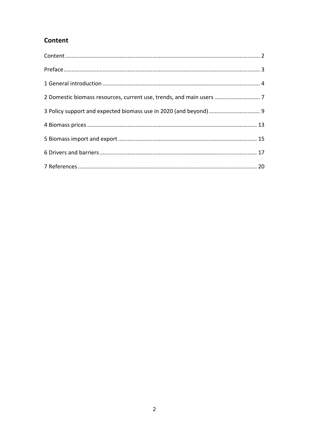# Content

| 2 Domestic biomass resources, current use, trends, and main users  7 |  |
|----------------------------------------------------------------------|--|
|                                                                      |  |
|                                                                      |  |
|                                                                      |  |
|                                                                      |  |
|                                                                      |  |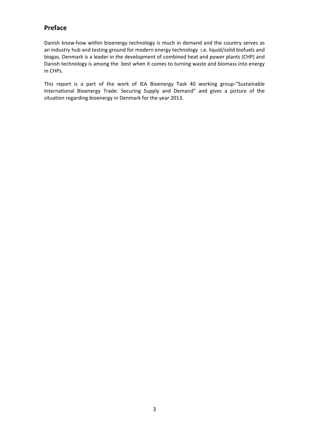## **Preface**

Danish know-how within bioenergy technology is much in demand and the country serves as an industry hub and testing ground for modern energy technology i.e. liquid/solid biofuels and biogas. Denmark is a leader in the development of combined heat and power plants (CHP) and Danish technology is among the best when it comes to turning waste and biomass into energy in CHPs.

This report is a part of the work of IEA Bioenergy Task 40 working group-"Sustainable International Bioenergy Trade: Securing Supply and Demand" and gives a picture of the situation regarding bioenergy in Denmark for the year 2013.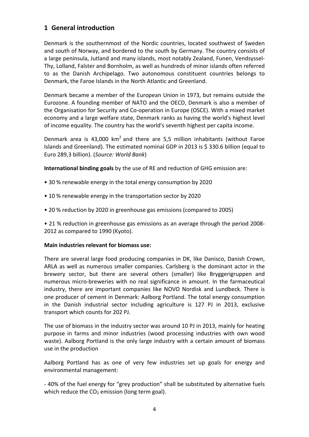## **1 General introduction**

Denmark is the southernmost of the Nordic countries, located southwest of Sweden and south of Norway, and bordered to the south by Germany. The country consists of a large peninsula, Jutland and many islands, most notably Zealand, Funen, Vendsyssel-Thy, Lolland, Falster and Bornholm, as well as hundreds of minor islands often referred to as the Danish Archipelago. Two autonomous constituent countries belongs to Denmark, the Faroe Islands in the North Atlantic and Greenland.

Denmark became a member of the European Union in 1973, but remains outside the Eurozone. A founding member of NATO and the OECD, Denmark is also a member of the Organisation for Security and Co-operation in Europe (OSCE). With a mixed market economy and a large welfare state, Denmark ranks as having the world's highest level of income equality. The country has the world's seventh highest per capita income.

Denmark area is 43,000 km<sup>2</sup> and there are 5,5 million inhabitants (without Faroe Islands and Greenland). The estimated nominal GDP in 2013 is \$ 330.6 billion (equal to Euro 289,3 billion). (*Source: World Bank*)

**International binding goals** by the use of RE and reduction of GHG emission are:

- 30 % renewable energy in the total energy consumption by 2020
- 10 % renewable energy in the transportation sector by 2020
- 20 % reduction by 2020 in greenhouse gas emissions (compared to 2005)

• 21 % reduction in greenhouse gas emissions as an average through the period 2008- 2012 as compared to 1990 (Kyoto).

#### **Main industries relevant for biomass use:**

There are several large food producing companies in DK, like Danisco, Danish Crown, ARLA as well as numerous smaller companies. Carlsberg is the dominant actor in the brewery sector, but there are several others (smaller) like Bryggerigruppen and numerous micro-breweries with no real significance in amount. In the farmaceutical industry, there are important companies like NOVO Nordisk and Lundbeck. There is one producer of cement in Denmark: Aalborg Portland. The total energy consumption in the Danish industrial sector including agriculture is 127 PJ in 2013, exclusive transport which counts for 202 PJ.

The use of biomass in the industry sector was around 10 PJ in 2013, mainly for heating purpose in farms and minor industries (wood processing industries with own wood waste). Aalborg Portland is the only large industry with a certain amount of biomass use in the production

Aalborg Portland has as one of very few industries set up goals for energy and environmental management:

- 40% of the fuel energy for "grey production" shall be substituted by alternative fuels which reduce the  $CO<sub>2</sub>$  emission (long term goal).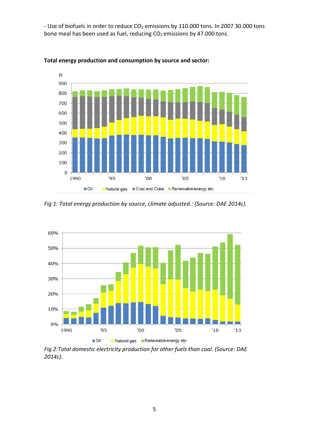- Use of biofuels in order to reduce  $CO<sub>2</sub>$  emissions by 110.000 tons. In 2007 30.000 tons bone meal has been used as fuel, reducing  $CO<sub>2</sub>$  emissions by 47.000 tons.





*Fig 1: Total energy production by source, climate adjusted.: (Source: DAE 2014c).*



*Fig 2:Total domestic electricity production for other fuels than coal. (Source: DAE 2014c).*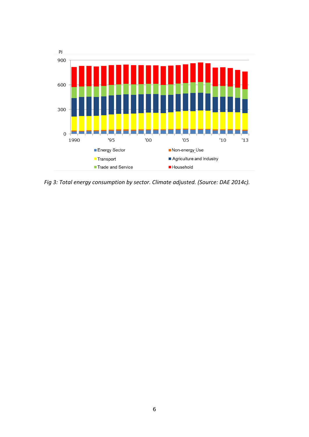

*Fig 3: Total energy consumption by sector. Climate adjusted. (Source: DAE 2014c).*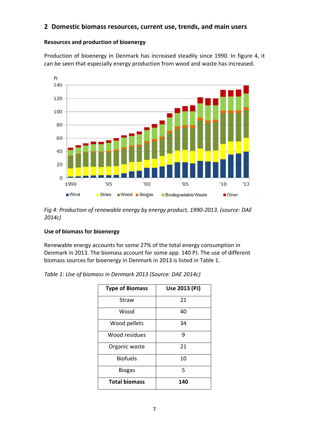### **2 Domestic biomass resources, current use, trends, and main users**

#### **Resources and production of bioenergy**

Production of bioenergy in Denmark has increased steadily since 1990. In figure 4, it can be seen that especially energy production from wood and waste has increased.



*Fig 4: Production of renewable energy by energy product, 1990-2013. (source: DAE 2014c)*

#### **Use of biomass for bioenergy**

Renewable energy accounts for some 27% of the total energy consumption in Denmark in 2013. The biomass account for some app. 140 PJ. The use of different biomass sources for bioenergy in Denmark in 2013 is listed in Table 1.

| <b>Type of Biomass</b> | Use 2013 (PJ) |  |  |
|------------------------|---------------|--|--|
| Straw                  | 21            |  |  |
| Wood                   | 40            |  |  |
| Wood pellets           | 34            |  |  |
| Wood residues          | ٩             |  |  |
| Organic waste          | 21            |  |  |
| <b>Biofuels</b>        | 10            |  |  |
| <b>Biogas</b>          | 5             |  |  |
| <b>Total biomass</b>   | 140           |  |  |

*Table 1: Use of biomass in Denmark 2013 (Source: DAE 2014c)*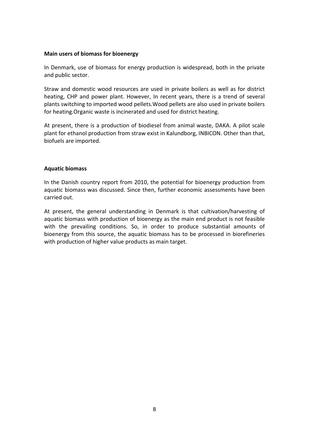#### **Main users of biomass for bioenergy**

In Denmark, use of biomass for energy production is widespread, both in the private and public sector.

Straw and domestic wood resources are used in private boilers as well as for district heating, CHP and power plant. However, In recent years, there is a trend of several plants switching to imported wood pellets.Wood pellets are also used in private boilers for heating.Organic waste is incinerated and used for district heating.

At present, there is a production of biodiesel from animal waste, DAKA. A pilot scale plant for ethanol production from straw exist in Kalundborg, INBICON. Other than that, biofuels are imported.

#### **Aquatic biomass**

In the Danish country report from 2010, the potential for bioenergy production from aquatic biomass was discussed. Since then, further economic assessments have been carried out.

At present, the general understanding in Denmark is that cultivation/harvesting of aquatic biomass with production of bioenergy as the main end product is not feasible with the prevailing conditions. So, in order to produce substantial amounts of bioenergy from this source, the aquatic biomass has to be processed in biorefineries with production of higher value products as main target.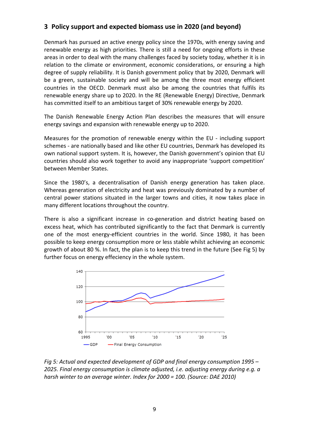## **3 Policy support and expected biomass use in 2020 (and beyond)**

Denmark has pursued an active energy policy since the 1970s, with energy saving and renewable energy as high priorities. There is still a need for ongoing efforts in these areas in order to deal with the many challenges faced by society today, whether it is in relation to the climate or environment, economic considerations, or ensuring a high degree of supply reliability. It is Danish government policy that by 2020, Denmark will be a green, sustainable society and will be among the three most energy efficient countries in the OECD. Denmark must also be among the countries that fulfils its renewable energy share up to 2020. In the RE (Renewable Energy) Directive, Denmark has committed itself to an ambitious target of 30% renewable energy by 2020.

The Danish Renewable Energy Action Plan describes the measures that will ensure energy savings and expansion with renewable energy up to 2020.

Measures for the promotion of renewable energy within the EU - including support schemes - are nationally based and like other EU countries, Denmark has developed its own national support system. It is, however, the Danish government's opinion that EU countries should also work together to avoid any inappropriate 'support competition' between Member States.

Since the 1980's, a decentralisation of Danish energy generation has taken place. Whereas generation of electricity and heat was previously dominated by a number of central power stations situated in the larger towns and cities, it now takes place in many different locations throughout the country.

There is also a significant increase in co-generation and district heating based on excess heat, which has contributed significantly to the fact that Denmark is currently one of the most energy-efficient countries in the world. Since 1980, it has been possible to keep energy consumption more or less stable whilst achieving an economic growth of about 80 %. In fact, the plan is to keep this trend in the future (See Fig 5) by further focus on energy effeciency in the whole system.



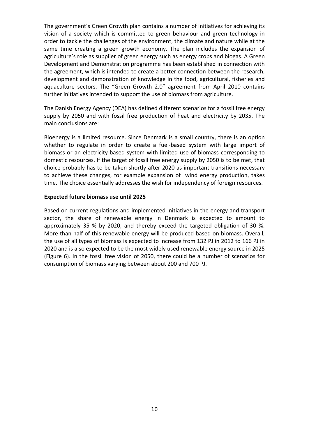The government's Green Growth plan contains a number of initiatives for achieving its vision of a society which is committed to green behaviour and green technology in order to tackle the challenges of the environment, the climate and nature while at the same time creating a green growth economy. The plan includes the expansion of agriculture's role as supplier of green energy such as energy crops and biogas. A Green Development and Demonstration programme has been established in connection with the agreement, which is intended to create a better connection between the research, development and demonstration of knowledge in the food, agricultural, fisheries and aquaculture sectors. The "Green Growth 2.0" agreement from April 2010 contains further initiatives intended to support the use of biomass from agriculture.

The Danish Energy Agency (DEA) has defined different scenarios for a fossil free energy supply by 2050 and with fossil free production of heat and electricity by 2035. The main conclusions are:

Bioenergy is a limited resource. Since Denmark is a small country, there is an option whether to regulate in order to create a fuel-based system with large import of biomass or an electricity-based system with limited use of biomass corresponding to domestic resources. If the target of fossil free energy supply by 2050 is to be met, that choice probably has to be taken shortly after 2020 as important transitions necessary to achieve these changes, for example expansion of wind energy production, takes time. The choice essentially addresses the wish for independency of foreign resources.

#### **Expected future biomass use until 2025**

Based on current regulations and implemented initiatives in the energy and transport sector, the share of renewable energy in Denmark is expected to amount to approximately 35 % by 2020, and thereby exceed the targeted obligation of 30 %. More than half of this renewable energy will be produced based on biomass. Overall, the use of all types of biomass is expected to increase from 132 PJ in 2012 to 166 PJ in 2020 and is also expected to be the most widely used renewable energy source in 2025 (Figure 6). In the fossil free vision of 2050, there could be a number of scenarios for consumption of biomass varying between about 200 and 700 PJ.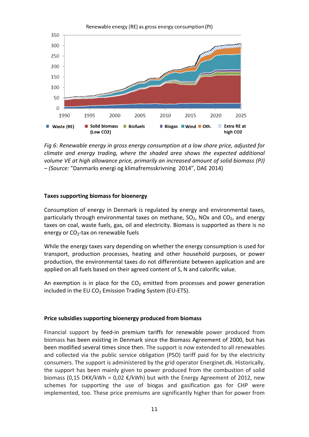

*Fig 6: Renewable energy in gross energy consumption at a low share price, adjusted for climate and energy trading, where the shaded area shows the expected additional volume VE at high allowance price, primarily an increased amount of solid biomass (PJ) – (Source:* "Danmarks energi og klimafremsskrivning 2014", DAE 2014)

#### **Taxes supporting biomass for bioenergy**

Consumption of energy in Denmark is regulated by energy and environmental taxes, particularly through environmental taxes on methane,  $SO_2$ , NOx and  $CO_2$ , and energy taxes on coal, waste fuels, gas, oil and electricity. Biomass is supported as there is no energy or  $CO<sub>2</sub>$ -tax on renewable fuels

While the energy taxes vary depending on whether the energy consumption is used for transport, production processes, heating and other household purposes, or power production, the environmental taxes do not differentiate between application and are applied on all fuels based on their agreed content of S, N and calorific value.

An exemption is in place for the  $CO<sub>2</sub>$  emitted from processes and power generation included in the EU  $CO<sub>2</sub>$  Emission Trading System (EU-ETS).

#### **Price subsidies supporting bioenergy produced from biomass**

Financial support by feed-in premium tariffs for renewable power produced from biomass has been existing in Denmark since the Biomass Agreement of 2000, but has been modified several times since then. The support is now extended to all renewables and collected via the public service obligation (PSO) tariff paid for by the electricity consumers. The support is administered by the grid operator Energinet.dk. Historically, the support has been mainly given to power produced from the combustion of solid biomass (0,15 DKK/kWh = 0,02  $\epsilon$ /kWh) but with the Energy Agreement of 2012, new schemes for supporting the use of biogas and gasification gas for CHP were implemented, too. These price premiums are significantly higher than for power from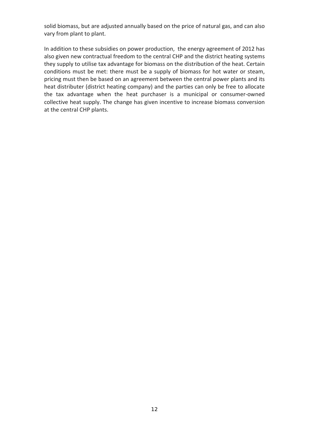solid biomass, but are adjusted annually based on the price of natural gas, and can also vary from plant to plant.

In addition to these subsidies on power production, the energy agreement of 2012 has also given new contractual freedom to the central CHP and the district heating systems they supply to utilise tax advantage for biomass on the distribution of the heat. Certain conditions must be met: there must be a supply of biomass for hot water or steam, pricing must then be based on an agreement between the central power plants and its heat distributer (district heating company) and the parties can only be free to allocate the tax advantage when the heat purchaser is a municipal or consumer-owned collective heat supply. The change has given incentive to increase biomass conversion at the central CHP plants.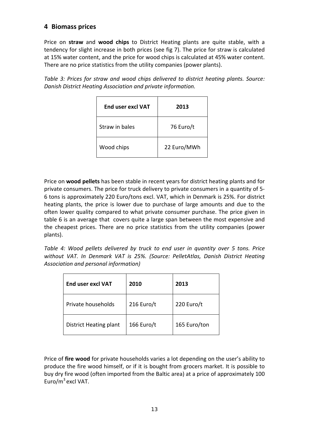## **4 Biomass prices**

Price on **straw** and **wood chips** to District Heating plants are quite stable, with a tendency for slight increase in both prices (see fig 7). The price for straw is calculated at 15% water content, and the price for wood chips is calculated at 45% water content. There are no price statistics from the utility companies (power plants).

*Table 3: Prices for straw and wood chips delivered to district heating plants. Source: Danish District Heating Association and private information.*

| <b>Fnd user excl VAT</b> | 2013        |
|--------------------------|-------------|
| Straw in bales           | 76 Euro/t   |
| Wood chips               | 22 Euro/MWh |

Price on **wood pellets** has been stable in recent years for district heating plants and for private consumers. The price for truck delivery to private consumers in a quantity of 5- 6 tons is approximately 220 Euro/tons excl. VAT, which in Denmark is 25%. For district heating plants, the price is lower due to purchase of large amounts and due to the often lower quality compared to what private consumer purchase. The price given in table 6 is an average that covers quite a large span between the most expensive and the cheapest prices. There are no price statistics from the utility companies (power plants).

*Table 4: Wood pellets delivered by truck to end user in quantity over 5 tons. Price without VAT. In Denmark VAT is 25%. (Source: PelletAtlas, Danish District Heating Association and personal information)*

| <b>End user excl VAT</b> | 2010       | 2013         |
|--------------------------|------------|--------------|
| Private households       | 216 Euro/t | 220 Euro/t   |
| District Heating plant   | 166 Euro/t | 165 Euro/ton |

Price of **fire wood** for private households varies a lot depending on the user's ability to produce the fire wood himself, or if it is bought from grocers market. It is possible to buy dry fire wood (often imported from the Baltic area) at a price of approximately 100 Euro/ $m^3$  excl VAT.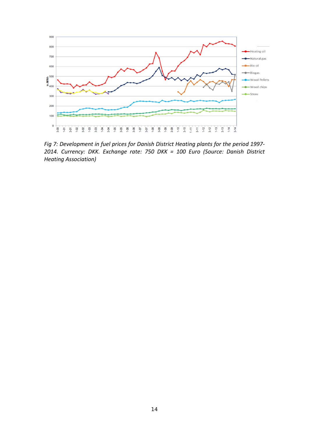

*Fig 7: Development in fuel prices for Danish District Heating plants for the period 1997- 2014. Currency: DKK. Exchange rate: 750 DKK = 100 Euro (Source: Danish District Heating Association)*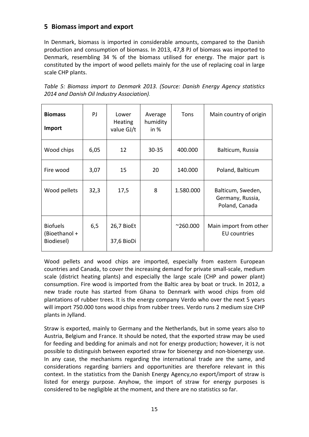## **5 Biomass import and export**

In Denmark, biomass is imported in considerable amounts, compared to the Danish production and consumption of biomass. In 2013, 47,8 PJ of biomass was imported to Denmark, resembling 34 % of the biomass utilised for energy. The major part is constituted by the import of wood pellets mainly for the use of replacing coal in large scale CHP plants.

| <b>Biomass</b><br>Import                       | PJ.  | Lower<br><b>Heating</b><br>value GJ/t | Average<br>humidity<br>in $%$ | Tons             | Main country of origin                                  |
|------------------------------------------------|------|---------------------------------------|-------------------------------|------------------|---------------------------------------------------------|
| Wood chips                                     | 6,05 | 12                                    | $30 - 35$                     | 400.000          | Balticum, Russia                                        |
| Fire wood                                      | 3,07 | 15                                    | 20                            | 140.000          | Poland, Balticum                                        |
| Wood pellets                                   | 32,3 | 17,5                                  | 8                             | 1.580.000        | Balticum, Sweden,<br>Germany, Russia,<br>Poland, Canada |
| <b>Biofuels</b><br>(Bioethanol +<br>Biodiesel) | 6,5  | 26,7 BioEt<br>37,6 BioDi              |                               | $^{\sim}260.000$ | Main import from other<br><b>EU</b> countries           |

*Table 5: Biomass import to Denmark 2013. (Source: Danish Energy Agency statistics 2014 and Danish Oil Industry Association).*

Wood pellets and wood chips are imported, especially from eastern European countries and Canada, to cover the increasing demand for private small-scale, medium scale (district heating plants) and especially the large scale (CHP and power plant) consumption. Fire wood is imported from the Baltic area by boat or truck. In 2012, a new trade route has started from Ghana to Denmark with wood chips from old plantations of rubber trees. It is the energy company Verdo who over the next 5 years will import 750.000 tons wood chips from rubber trees. Verdo runs 2 medium size CHP plants in Jylland.

Straw is exported, mainly to Germany and the Netherlands, but in some years also to Austria, Belgium and France. It should be noted, that the exported straw may be used for feeding and bedding for animals and not for energy production; however, it is not possible to distinguish between exported straw for bioenergy and non-bioenergy use. In any case, the mechanisms regarding the international trade are the same, and considerations regarding barriers and opportunities are therefore relevant in this context. In the statistics from the Danish Energy Agency,no export/import of straw is listed for energy purpose. Anyhow, the import of straw for energy purposes is considered to be negligible at the moment, and there are no statistics so far.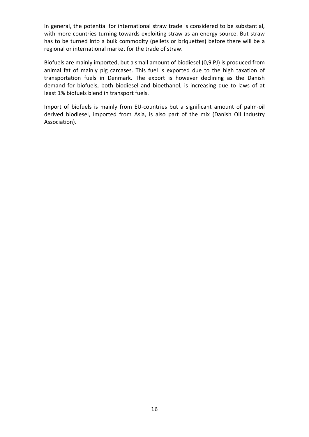In general, the potential for international straw trade is considered to be substantial, with more countries turning towards exploiting straw as an energy source. But straw has to be turned into a bulk commodity (pellets or briquettes) before there will be a regional or international market for the trade of straw.

Biofuels are mainly imported, but a small amount of biodiesel (0,9 PJ) is produced from animal fat of mainly pig carcases. This fuel is exported due to the high taxation of transportation fuels in Denmark. The export is however declining as the Danish demand for biofuels, both biodiesel and bioethanol, is increasing due to laws of at least 1% biofuels blend in transport fuels.

Import of biofuels is mainly from EU-countries but a significant amount of palm-oil derived biodiesel, imported from Asia, is also part of the mix (Danish Oil Industry Association).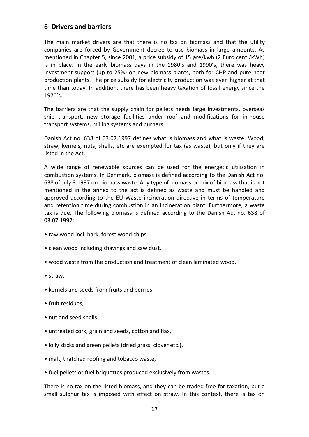## **6 Drivers and barriers**

The main market drivers are that there is no tax on biomass and that the utility companies are forced by Government decree to use biomass in large amounts. As mentioned in Chapter 5, since 2001, a price subsidy of 15 øre/kwh (2 Euro cent /kWh) is in place. In the early biomass days in the 1980's and 1990's, there was heavy investment support (up to 25%) on new biomass plants, both for CHP and pure heat production plants. The price subsidy for electricity production was even higher at that time than today. In addition, there has been heavy taxation of fossil energy since the 1970's.

The barriers are that the supply chain for pellets needs large investments, overseas ship transport, new storage facilities under roof and modifications for in-house transport systems, milling systems and burners.

Danish Act no. 638 of 03.07.1997 defines what is biomass and what is waste. Wood, straw, kernels, nuts, shells, etc are exempted for tax (as waste), but only if they are listed in the Act.

A wide range of renewable sources can be used for the energetic utilisation in combustion systems. In Denmark, biomass is defined according to the Danish Act no. 638 of July 3 1997 on biomass waste. Any type of biomass or mix of biomass that is not mentioned in the annex to the act is defined as waste and must be handled and approved according to the EU Waste incineration directive in terms of temperature and retention time during combustion in an incineration plant. Furthermore, a waste tax is due. The following biomass is defined according to the Danish Act no. 638 of 03.07.1997:

- raw wood incl. bark, forest wood chips,
- clean wood including shavings and saw dust,
- wood waste from the production and treatment of clean laminated wood,
- straw,
- kernels and seeds from fruits and berries,
- fruit residues,
- nut and seed shells
- untreated cork, grain and seeds, cotton and flax,
- lolly sticks and green pellets (dried grass, clover etc.),
- malt, thatched roofing and tobacco waste,
- fuel pellets or fuel briquettes produced exclusively from wastes.

There is no tax on the listed biomass, and they can be traded free for taxation, but a small sulphur tax is imposed with effect on straw. In this context, there is tax on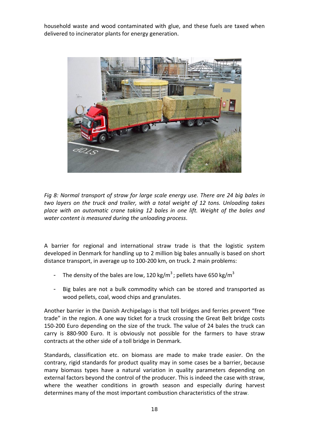household waste and wood contaminated with glue, and these fuels are taxed when delivered to incinerator plants for energy generation.



*Fig 8: Normal transport of straw for large scale energy use. There are 24 big bales in two layers on the truck and trailer, with a total weight of 12 tons. Unloading takes place with an automatic crane taking 12 bales in one lift. Weight of the bales and water content is measured during the unloading process*.

A barrier for regional and international straw trade is that the logistic system developed in Denmark for handling up to 2 million big bales annually is based on short distance transport, in average up to 100-200 km, on truck. 2 main problems:

- The density of the bales are low, 120 kg/m<sup>3</sup>; pellets have 650 kg/m<sup>3</sup>
- Big bales are not a bulk commodity which can be stored and transported as wood pellets, coal, wood chips and granulates.

Another barrier in the Danish Archipelago is that toll bridges and ferries prevent "free trade" in the region. A one way ticket for a truck crossing the Great Belt bridge costs 150-200 Euro depending on the size of the truck. The value of 24 bales the truck can carry is 880-900 Euro. It is obviously not possible for the farmers to have straw contracts at the other side of a toll bridge in Denmark.

Standards, classification etc. on biomass are made to make trade easier. On the contrary, rigid standards for product quality may in some cases be a barrier, because many biomass types have a natural variation in quality parameters depending on external factors beyond the control of the producer. This is indeed the case with straw, where the weather conditions in growth season and especially during harvest determines many of the most important combustion characteristics of the straw.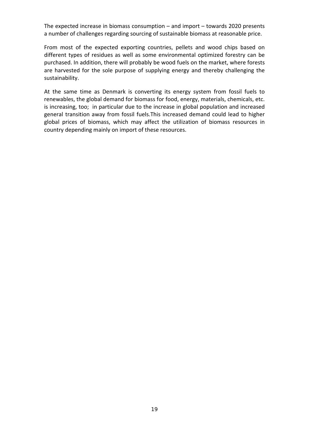The expected increase in biomass consumption – and import – towards 2020 presents a number of challenges regarding sourcing of sustainable biomass at reasonable price.

From most of the expected exporting countries, pellets and wood chips based on different types of residues as well as some environmental optimized forestry can be purchased. In addition, there will probably be wood fuels on the market, where forests are harvested for the sole purpose of supplying energy and thereby challenging the sustainability.

At the same time as Denmark is converting its energy system from fossil fuels to renewables, the global demand for biomass for food, energy, materials, chemicals, etc. is increasing, too; in particular due to the increase in global population and increased general transition away from fossil fuels.This increased demand could lead to higher global prices of biomass, which may affect the utilization of biomass resources in country depending mainly on import of these resources.